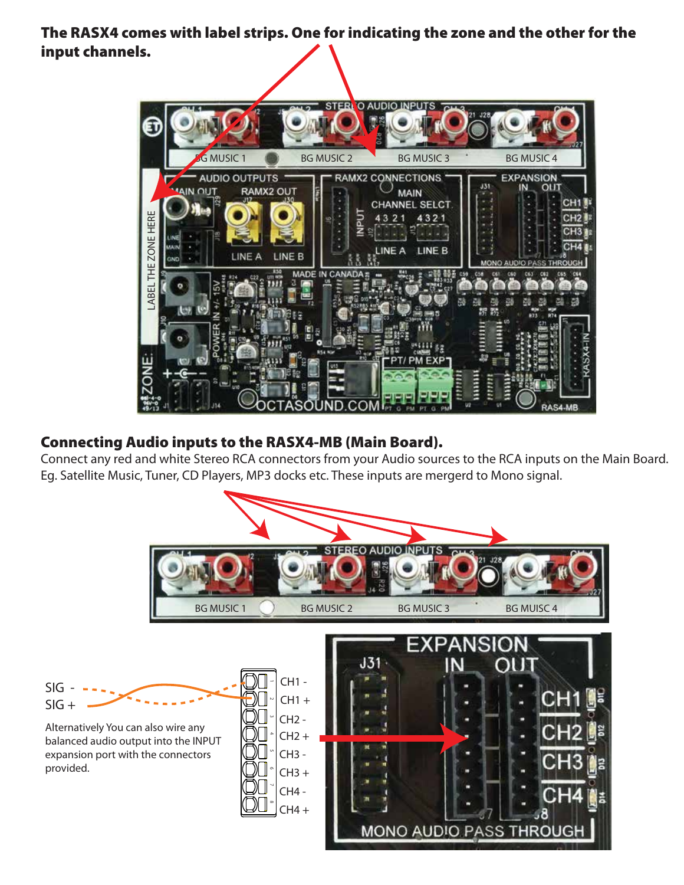The RASX4 comes with label strips. One for indicating the zone and the other for the input channels.



## Connecting Audio inputs to the RASX4-MB (Main Board).

Connect any red and white Stereo RCA connectors from your Audio sources to the RCA inputs on the Main Board. Eg. Satellite Music, Tuner, CD Players, MP3 docks etc. These inputs are mergerd to Mono signal.

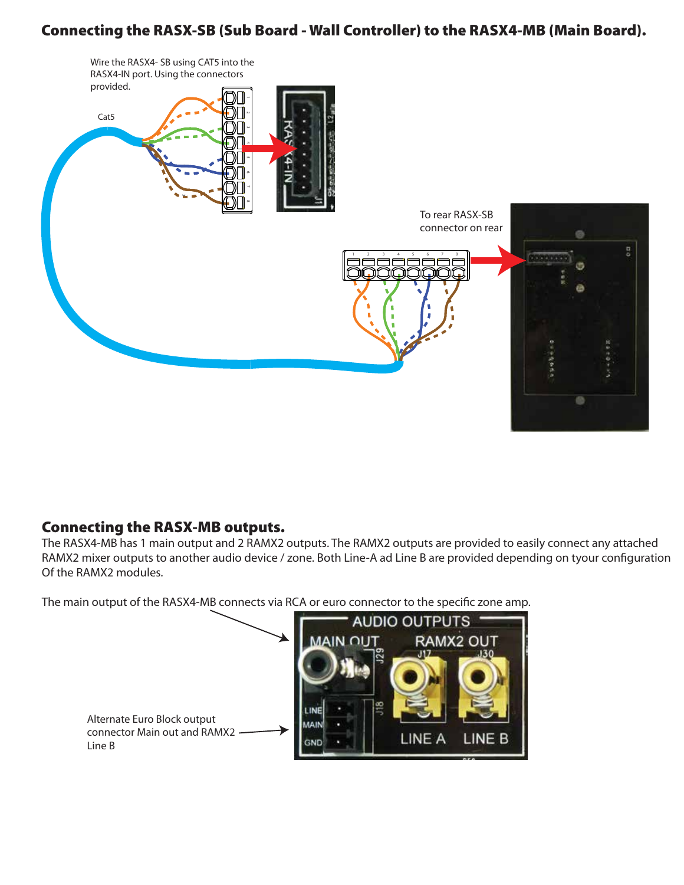## Connecting the RASX-SB (Sub Board - Wall Controller) to the RASX4-MB (Main Board).



### Connecting the RASX-MB outputs.

The RASX4-MB has 1 main output and 2 RAMX2 outputs. The RAMX2 outputs are provided to easily connect any attached RAMX2 mixer outputs to another audio device / zone. Both Line-A ad Line B are provided depending on tyour configuration Of the RAMX2 modules.

The main output of the RASX4-MB connects via RCA or euro connector to the specific zone amp.

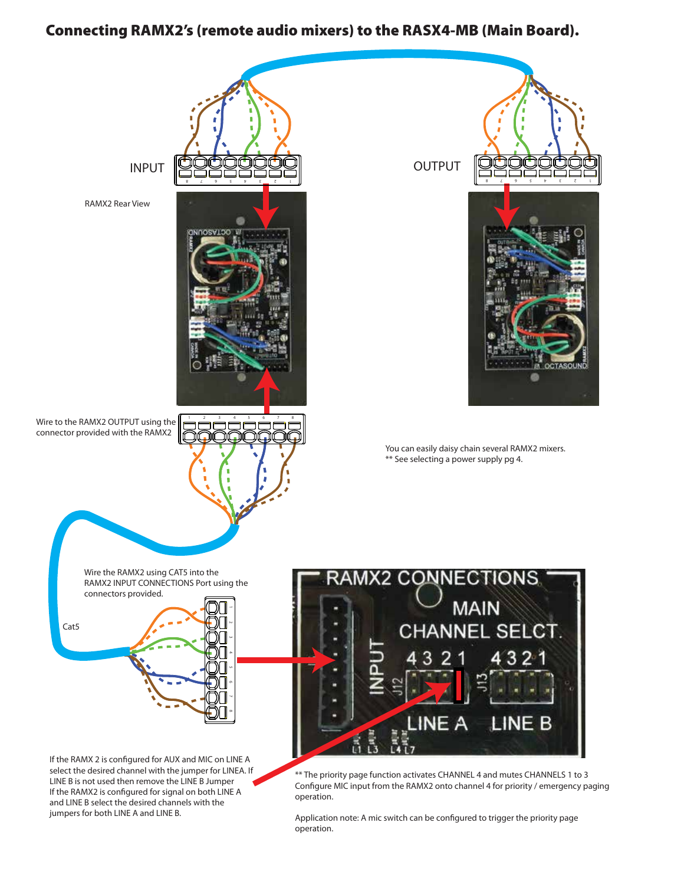#### Connecting RAMX2's (remote audio mixers) to the RASX4-MB (Main Board).



Application note: A mic switch can be configured to trigger the priority page operation.